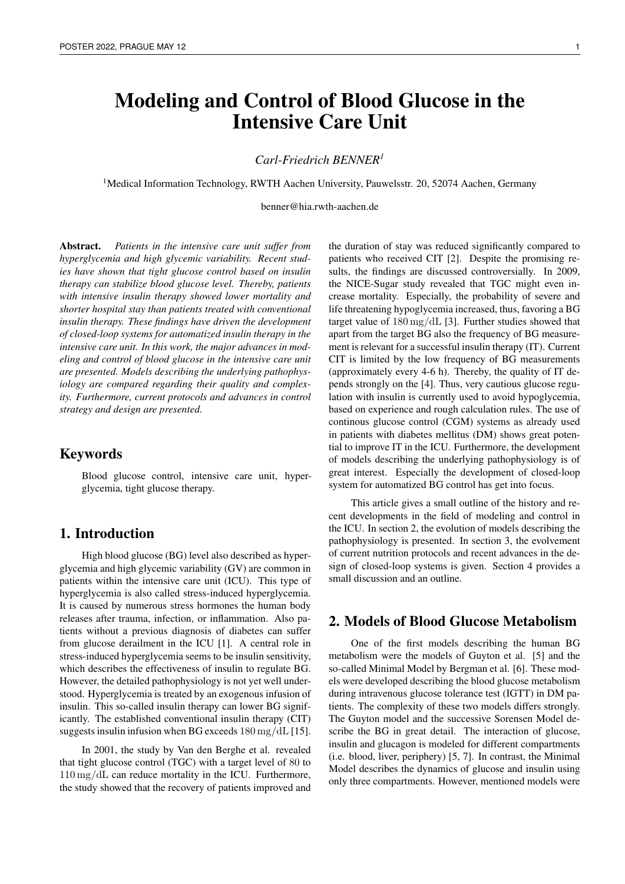# Modeling and Control of Blood Glucose in the Intensive Care Unit

#### *Carl-Friedrich BENNER<sup>1</sup>*

<sup>1</sup>Medical Information Technology, RWTH Aachen University, Pauwelsstr. 20, 52074 Aachen, Germany

benner@hia.rwth-aachen.de

Abstract. *Patients in the intensive care unit suffer from hyperglycemia and high glycemic variability. Recent studies have shown that tight glucose control based on insulin therapy can stabilize blood glucose level. Thereby, patients with intensive insulin therapy showed lower mortality and shorter hospital stay than patients treated with conventional insulin therapy. These findings have driven the development of closed-loop systems for automatized insulin therapy in the intensive care unit. In this work, the major advances in modeling and control of blood glucose in the intensive care unit are presented. Models describing the underlying pathophysiology are compared regarding their quality and complexity. Furthermore, current protocols and advances in control strategy and design are presented.*

## Keywords

Blood glucose control, intensive care unit, hyperglycemia, tight glucose therapy.

## 1. Introduction

High blood glucose (BG) level also described as hyperglycemia and high glycemic variability (GV) are common in patients within the intensive care unit (ICU). This type of hyperglycemia is also called stress-induced hyperglycemia. It is caused by numerous stress hormones the human body releases after trauma, infection, or inflammation. Also patients without a previous diagnosis of diabetes can suffer from glucose derailment in the ICU [1]. A central role in stress-induced hyperglycemia seems to be insulin sensitivity, which describes the effectiveness of insulin to regulate BG. However, the detailed pathophysiology is not yet well understood. Hyperglycemia is treated by an exogenous infusion of insulin. This so-called insulin therapy can lower BG significantly. The established conventional insulin therapy (CIT) suggests insulin infusion when BG exceeds 180 mg/dL [15].

In 2001, the study by Van den Berghe et al. revealed that tight glucose control (TGC) with a target level of 80 to 110 mg/dL can reduce mortality in the ICU. Furthermore, the study showed that the recovery of patients improved and

the duration of stay was reduced significantly compared to patients who received CIT [2]. Despite the promising results, the findings are discussed controversially. In 2009, the NICE-Sugar study revealed that TGC might even increase mortality. Especially, the probability of severe and life threatening hypoglycemia increased, thus, favoring a BG target value of 180 mg/dL [3]. Further studies showed that apart from the target BG also the frequency of BG measurement is relevant for a successful insulin therapy (IT). Current CIT is limited by the low frequency of BG measurements (approximately every 4-6 h). Thereby, the quality of IT depends strongly on the [4]. Thus, very cautious glucose regulation with insulin is currently used to avoid hypoglycemia, based on experience and rough calculation rules. The use of continous glucose control (CGM) systems as already used in patients with diabetes mellitus (DM) shows great potential to improve IT in the ICU. Furthermore, the development of models describing the underlying pathophysiology is of great interest. Especially the development of closed-loop system for automatized BG control has get into focus.

This article gives a small outline of the history and recent developments in the field of modeling and control in the ICU. In section 2, the evolution of models describing the pathophysiology is presented. In section 3, the evolvement of current nutrition protocols and recent advances in the design of closed-loop systems is given. Section 4 provides a small discussion and an outline.

## 2. Models of Blood Glucose Metabolism

One of the first models describing the human BG metabolism were the models of Guyton et al. [5] and the so-called Minimal Model by Bergman et al. [6]. These models were developed describing the blood glucose metabolism during intravenous glucose tolerance test (IGTT) in DM patients. The complexity of these two models differs strongly. The Guyton model and the successive Sorensen Model describe the BG in great detail. The interaction of glucose, insulin and glucagon is modeled for different compartments (i.e. blood, liver, periphery) [5, 7]. In contrast, the Minimal Model describes the dynamics of glucose and insulin using only three compartments. However, mentioned models were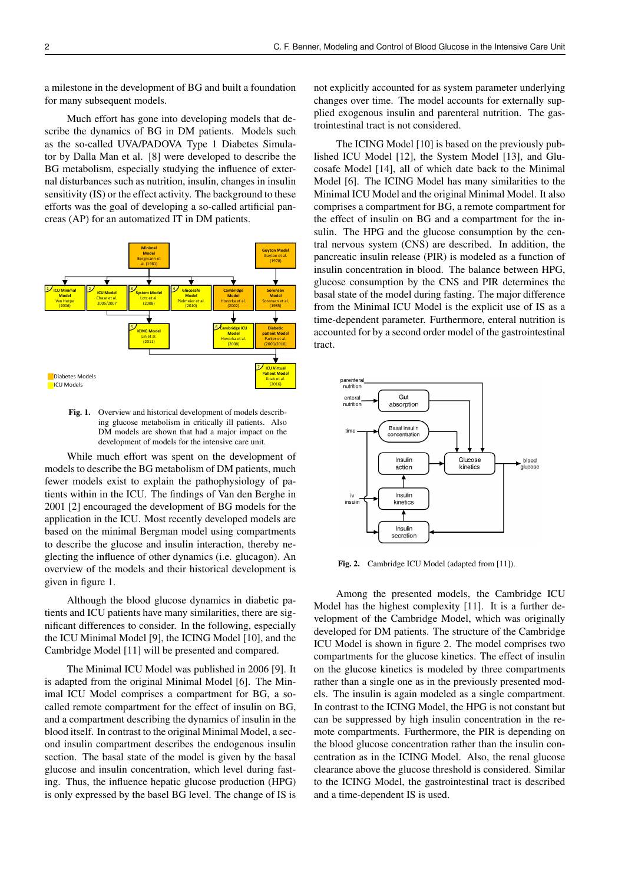a milestone in the development of BG and built a foundation for many subsequent models.

Much effort has gone into developing models that describe the dynamics of BG in DM patients. Models such as the so-called UVA/PADOVA Type 1 Diabetes Simulator by Dalla Man et al. [8] were developed to describe the BG metabolism, especially studying the influence of external disturbances such as nutrition, insulin, changes in insulin sensitivity (IS) or the effect activity. The background to these efforts was the goal of developing a so-called artificial pancreas (AP) for an automatized IT in DM patients.



Fig. 1. Overview and historical development of models describing glucose metabolism in critically ill patients. Also DM models are shown that had a major impact on the development of models for the intensive care unit.

While much effort was spent on the development of models to describe the BG metabolism of DM patients, much fewer models exist to explain the pathophysiology of patients within in the ICU. The findings of Van den Berghe in 2001 [2] encouraged the development of BG models for the application in the ICU. Most recently developed models are based on the minimal Bergman model using compartments to describe the glucose and insulin interaction, thereby neglecting the influence of other dynamics (i.e. glucagon). An overview of the models and their historical development is given in figure 1.

Although the blood glucose dynamics in diabetic patients and ICU patients have many similarities, there are significant differences to consider. In the following, especially the ICU Minimal Model [9], the ICING Model [10], and the Cambridge Model [11] will be presented and compared.

The Minimal ICU Model was published in 2006 [9]. It is adapted from the original Minimal Model [6]. The Minimal ICU Model comprises a compartment for BG, a socalled remote compartment for the effect of insulin on BG, and a compartment describing the dynamics of insulin in the blood itself. In contrast to the original Minimal Model, a second insulin compartment describes the endogenous insulin section. The basal state of the model is given by the basal glucose and insulin concentration, which level during fasting. Thus, the influence hepatic glucose production (HPG) is only expressed by the basel BG level. The change of IS is

not explicitly accounted for as system parameter underlying changes over time. The model accounts for externally supplied exogenous insulin and parenteral nutrition. The gastrointestinal tract is not considered.

The ICING Model [10] is based on the previously published ICU Model [12], the System Model [13], and Glucosafe Model [14], all of which date back to the Minimal Model [6]. The ICING Model has many similarities to the Minimal ICU Model and the original Minimal Model. It also comprises a compartment for BG, a remote compartment for the effect of insulin on BG and a compartment for the insulin. The HPG and the glucose consumption by the central nervous system (CNS) are described. In addition, the pancreatic insulin release (PIR) is modeled as a function of insulin concentration in blood. The balance between HPG, glucose consumption by the CNS and PIR determines the basal state of the model during fasting. The major difference from the Minimal ICU Model is the explicit use of IS as a time-dependent parameter. Furthermore, enteral nutrition is accounted for by a second order model of the gastrointestinal tract.



Fig. 2. Cambridge ICU Model (adapted from [11]).

Among the presented models, the Cambridge ICU Model has the highest complexity [11]. It is a further development of the Cambridge Model, which was originally developed for DM patients. The structure of the Cambridge ICU Model is shown in figure 2. The model comprises two compartments for the glucose kinetics. The effect of insulin on the glucose kinetics is modeled by three compartments rather than a single one as in the previously presented models. The insulin is again modeled as a single compartment. In contrast to the ICING Model, the HPG is not constant but can be suppressed by high insulin concentration in the remote compartments. Furthermore, the PIR is depending on the blood glucose concentration rather than the insulin concentration as in the ICING Model. Also, the renal glucose clearance above the glucose threshold is considered. Similar to the ICING Model, the gastrointestinal tract is described and a time-dependent IS is used.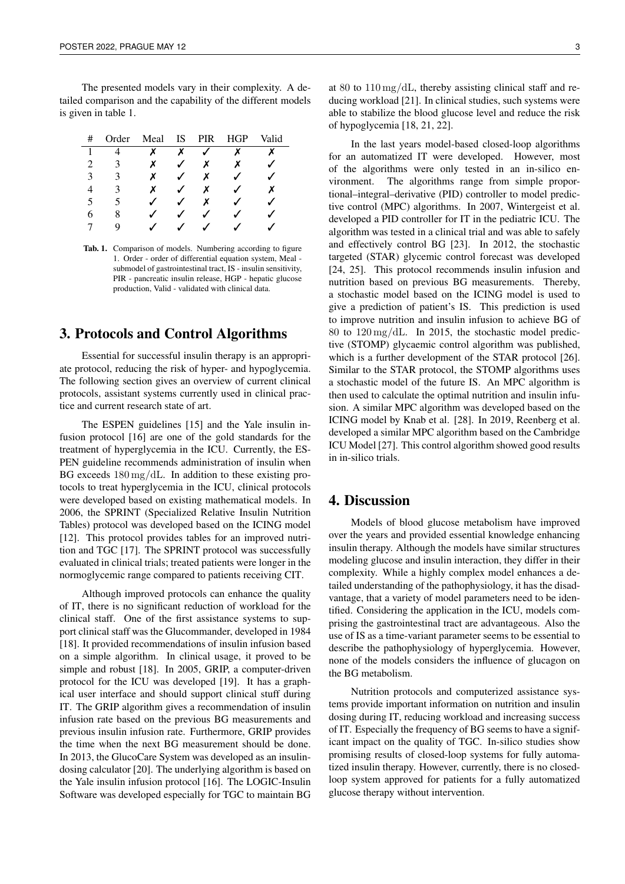The presented models vary in their complexity. A detailed comparison and the capability of the different models is given in table 1.

| #             | Order | Meal IS PIR |              |              | <b>HGP</b> | Valid |
|---------------|-------|-------------|--------------|--------------|------------|-------|
| 1             |       | X.          | x            | $\checkmark$ | x          |       |
| $\mathcal{L}$ | 3     | X.          | $\checkmark$ | X            | X.         | ✓     |
| 3             | 3     | X.          | ✓            | х            |            |       |
|               | 3     | X.          | $\checkmark$ | х            | J          | x     |
| 5             |       | ✓           | ✓            | х            |            |       |
| 6             | 8     |             | ✓            |              |            |       |
|               |       |             |              |              |            |       |

Tab. 1. Comparison of models. Numbering according to figure 1. Order - order of differential equation system, Meal submodel of gastrointestinal tract, IS - insulin sensitivity, PIR - pancreatic insulin release, HGP - hepatic glucose production, Valid - validated with clinical data.

### 3. Protocols and Control Algorithms

Essential for successful insulin therapy is an appropriate protocol, reducing the risk of hyper- and hypoglycemia. The following section gives an overview of current clinical protocols, assistant systems currently used in clinical practice and current research state of art.

The ESPEN guidelines [15] and the Yale insulin infusion protocol [16] are one of the gold standards for the treatment of hyperglycemia in the ICU. Currently, the ES-PEN guideline recommends administration of insulin when BG exceeds 180 mg/dL. In addition to these existing protocols to treat hyperglycemia in the ICU, clinical protocols were developed based on existing mathematical models. In 2006, the SPRINT (Specialized Relative Insulin Nutrition Tables) protocol was developed based on the ICING model [12]. This protocol provides tables for an improved nutrition and TGC [17]. The SPRINT protocol was successfully evaluated in clinical trials; treated patients were longer in the normoglycemic range compared to patients receiving CIT.

Although improved protocols can enhance the quality of IT, there is no significant reduction of workload for the clinical staff. One of the first assistance systems to support clinical staff was the Glucommander, developed in 1984 [18]. It provided recommendations of insulin infusion based on a simple algorithm. In clinical usage, it proved to be simple and robust [18]. In 2005, GRIP, a computer-driven protocol for the ICU was developed [19]. It has a graphical user interface and should support clinical stuff during IT. The GRIP algorithm gives a recommendation of insulin infusion rate based on the previous BG measurements and previous insulin infusion rate. Furthermore, GRIP provides the time when the next BG measurement should be done. In 2013, the GlucoCare System was developed as an insulindosing calculator [20]. The underlying algorithm is based on the Yale insulin infusion protocol [16]. The LOGIC-Insulin Software was developed especially for TGC to maintain BG

at 80 to 110 mg/dL, thereby assisting clinical staff and reducing workload [21]. In clinical studies, such systems were able to stabilize the blood glucose level and reduce the risk of hypoglycemia [18, 21, 22].

In the last years model-based closed-loop algorithms for an automatized IT were developed. However, most of the algorithms were only tested in an in-silico environment. The algorithms range from simple proportional–integral–derivative (PID) controller to model predictive control (MPC) algorithms. In 2007, Wintergeist et al. developed a PID controller for IT in the pediatric ICU. The algorithm was tested in a clinical trial and was able to safely and effectively control BG [23]. In 2012, the stochastic targeted (STAR) glycemic control forecast was developed [24, 25]. This protocol recommends insulin infusion and nutrition based on previous BG measurements. Thereby, a stochastic model based on the ICING model is used to give a prediction of patient's IS. This prediction is used to improve nutrition and insulin infusion to achieve BG of 80 to 120 mg/dL. In 2015, the stochastic model predictive (STOMP) glycaemic control algorithm was published, which is a further development of the STAR protocol [26]. Similar to the STAR protocol, the STOMP algorithms uses a stochastic model of the future IS. An MPC algorithm is then used to calculate the optimal nutrition and insulin infusion. A similar MPC algorithm was developed based on the ICING model by Knab et al. [28]. In 2019, Reenberg et al. developed a similar MPC algorithm based on the Cambridge ICU Model [27]. This control algorithm showed good results in in-silico trials.

### 4. Discussion

Models of blood glucose metabolism have improved over the years and provided essential knowledge enhancing insulin therapy. Although the models have similar structures modeling glucose and insulin interaction, they differ in their complexity. While a highly complex model enhances a detailed understanding of the pathophysiology, it has the disadvantage, that a variety of model parameters need to be identified. Considering the application in the ICU, models comprising the gastrointestinal tract are advantageous. Also the use of IS as a time-variant parameter seems to be essential to describe the pathophysiology of hyperglycemia. However, none of the models considers the influence of glucagon on the BG metabolism.

Nutrition protocols and computerized assistance systems provide important information on nutrition and insulin dosing during IT, reducing workload and increasing success of IT. Especially the frequency of BG seems to have a significant impact on the quality of TGC. In-silico studies show promising results of closed-loop systems for fully automatized insulin therapy. However, currently, there is no closedloop system approved for patients for a fully automatized glucose therapy without intervention.